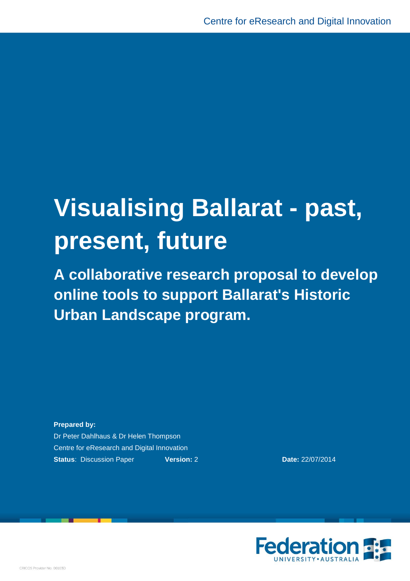# **Visualising Ballarat - past, present, future**

**A collaborative research proposal to develop online tools to support Ballarat's Historic Urban Landscape program.**

**Prepared by:** Dr Peter Dahlhaus & Dr Helen Thompson Centre for eResearch and Digital Innovation **Status: Discussion Paper <b>Version:** 2 **Date:** 22/07/2014

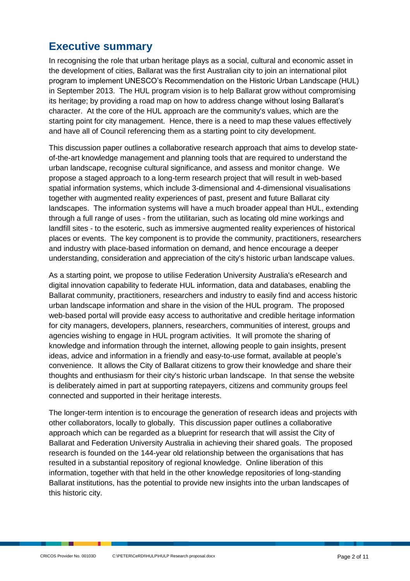# **Executive summary**

In recognising the role that urban heritage plays as a social, cultural and economic asset in the development of cities, Ballarat was the first Australian city to join an international pilot program to implement UNESCO's Recommendation on the Historic Urban Landscape (HUL) in September 2013. The HUL program vision is to help Ballarat grow without compromising its heritage; by providing a road map on how to address change without losing Ballarat's character. At the core of the HUL approach are the community's values, which are the starting point for city management. Hence, there is a need to map these values effectively and have all of Council referencing them as a starting point to city development.

This discussion paper outlines a collaborative research approach that aims to develop stateof-the-art knowledge management and planning tools that are required to understand the urban landscape, recognise cultural significance, and assess and monitor change. We propose a staged approach to a long-term research project that will result in web-based spatial information systems, which include 3-dimensional and 4-dimensional visualisations together with augmented reality experiences of past, present and future Ballarat city landscapes. The information systems will have a much broader appeal than HUL, extending through a full range of uses - from the utilitarian, such as locating old mine workings and landfill sites - to the esoteric, such as immersive augmented reality experiences of historical places or events. The key component is to provide the community, practitioners, researchers and industry with place-based information on demand, and hence encourage a deeper understanding, consideration and appreciation of the city's historic urban landscape values.

As a starting point, we propose to utilise Federation University Australia's eResearch and digital innovation capability to federate HUL information, data and databases, enabling the Ballarat community, practitioners, researchers and industry to easily find and access historic urban landscape information and share in the vision of the HUL program. The proposed web-based portal will provide easy access to authoritative and credible heritage information for city managers, developers, planners, researchers, communities of interest, groups and agencies wishing to engage in HUL program activities. It will promote the sharing of knowledge and information through the internet, allowing people to gain insights, present ideas, advice and information in a friendly and easy-to-use format, available at people's convenience. It allows the City of Ballarat citizens to grow their knowledge and share their thoughts and enthusiasm for their city's historic urban landscape. In that sense the website is deliberately aimed in part at supporting ratepayers, citizens and community groups feel connected and supported in their heritage interests.

The longer-term intention is to encourage the generation of research ideas and projects with other collaborators, locally to globally. This discussion paper outlines a collaborative approach which can be regarded as a blueprint for research that will assist the City of Ballarat and Federation University Australia in achieving their shared goals. The proposed research is founded on the 144-year old relationship between the organisations that has resulted in a substantial repository of regional knowledge. Online liberation of this information, together with that held in the other knowledge repositories of long-standing Ballarat institutions, has the potential to provide new insights into the urban landscapes of this historic city.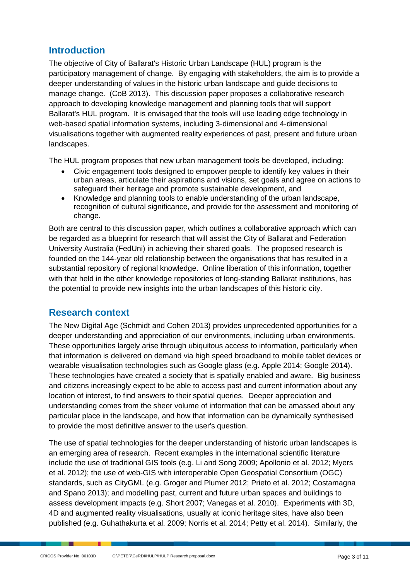# **Introduction**

The objective of City of Ballarat's Historic Urban Landscape (HUL) program is the participatory management of change. By engaging with stakeholders, the aim is to provide a deeper understanding of values in the historic urban landscape and guide decisions to manage change. (CoB 2013). This discussion paper proposes a collaborative research approach to developing knowledge management and planning tools that will support Ballarat's HUL program. It is envisaged that the tools will use leading edge technology in web-based spatial information systems, including 3-dimensional and 4-dimensional visualisations together with augmented reality experiences of past, present and future urban landscapes.

The HUL program proposes that new urban management tools be developed, including:

- Civic engagement tools designed to empower people to identify key values in their urban areas, articulate their aspirations and visions, set goals and agree on actions to safeguard their heritage and promote sustainable development, and
- Knowledge and planning tools to enable understanding of the urban landscape, recognition of cultural significance, and provide for the assessment and monitoring of change.

Both are central to this discussion paper, which outlines a collaborative approach which can be regarded as a blueprint for research that will assist the City of Ballarat and Federation University Australia (FedUni) in achieving their shared goals. The proposed research is founded on the 144-year old relationship between the organisations that has resulted in a substantial repository of regional knowledge. Online liberation of this information, together with that held in the other knowledge repositories of long-standing Ballarat institutions, has the potential to provide new insights into the urban landscapes of this historic city.

## **Research context**

The New Digital Age (Schmidt and Cohen 2013) provides unprecedented opportunities for a deeper understanding and appreciation of our environments, including urban environments. These opportunities largely arise through ubiquitous access to information, particularly when that information is delivered on demand via high speed broadband to mobile tablet devices or wearable visualisation technologies such as Google glass (e.g. Apple 2014; Google 2014). These technologies have created a society that is spatially enabled and aware. Big business and citizens increasingly expect to be able to access past and current information about any location of interest, to find answers to their spatial queries. Deeper appreciation and understanding comes from the sheer volume of information that can be amassed about any particular place in the landscape, and how that information can be dynamically synthesised to provide the most definitive answer to the user's question.

The use of spatial technologies for the deeper understanding of historic urban landscapes is an emerging area of research. Recent examples in the international scientific literature include the use of traditional GIS tools (e.g. Li and Song 2009; Apollonio et al. 2012; Myers et al. 2012); the use of web-GIS with interoperable Open Geospatial Consortium (OGC) standards, such as CityGML (e.g. Groger and Plumer 2012; Prieto et al. 2012; Costamagna and Spano 2013); and modelling past, current and future urban spaces and buildings to assess development impacts (e.g. Short 2007; Vanegas et al. 2010). Experiments with 3D, 4D and augmented reality visualisations, usually at iconic heritage sites, have also been published (e.g. Guhathakurta et al. 2009; Norris et al. 2014; Petty et al. 2014). Similarly, the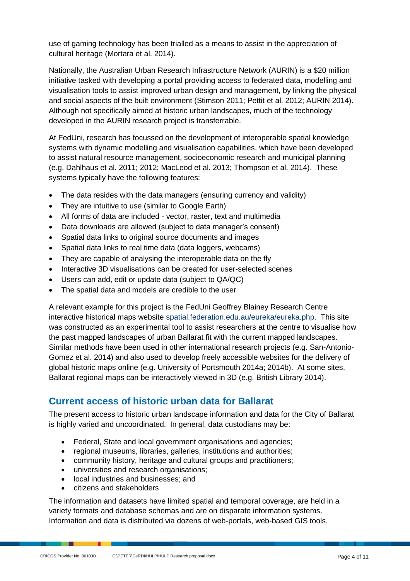use of gaming technology has been trialled as a means to assist in the appreciation of cultural heritage (Mortara et al. 2014).

Nationally, the Australian Urban Research Infrastructure Network (AURIN) is a \$20 million initiative tasked with developing a portal providing access to federated data, modelling and visualisation tools to assist improved urban design and management, by linking the physical and social aspects of the built environment (Stimson 2011; Pettit et al. 2012; AURIN 2014). Although not specifically aimed at historic urban landscapes, much of the technology developed in the AURIN research project is transferrable.

At FedUni, research has focussed on the development of interoperable spatial knowledge systems with dynamic modelling and visualisation capabilities, which have been developed to assist natural resource management, socioeconomic research and municipal planning (e.g. Dahlhaus et al. 2011; 2012; MacLeod et al. 2013; Thompson et al. 2014). These systems typically have the following features:

- The data resides with the data managers (ensuring currency and validity)
- They are intuitive to use (similar to Google Earth)
- All forms of data are included vector, raster, text and multimedia
- Data downloads are allowed (subject to data manager's consent)
- Spatial data links to original source documents and images
- Spatial data links to real time data (data loggers, webcams)
- They are capable of analysing the interoperable data on the fly
- Interactive 3D visualisations can be created for user-selected scenes
- Users can add, edit or update data (subject to QA/QC)
- The spatial data and models are credible to the user

A relevant example for this project is the FedUni Geoffrey Blainey Research Centre interactive historical maps website [spatial.federation.edu.au/eureka/eureka.php.](http://spatial.federation.edu.au/eureka/eureka.php) This site was constructed as an experimental tool to assist researchers at the centre to visualise how the past mapped landscapes of urban Ballarat fit with the current mapped landscapes. Similar methods have been used in other international research projects (e.g. San-Antonio-Gomez et al. 2014) and also used to develop freely accessible websites for the delivery of global historic maps online (e.g. University of Portsmouth 2014a; 2014b). At some sites, Ballarat regional maps can be interactively viewed in 3D (e.g. British Library 2014).

## **Current access of historic urban data for Ballarat**

The present access to historic urban landscape information and data for the City of Ballarat is highly varied and uncoordinated. In general, data custodians may be:

- Federal, State and local government organisations and agencies;
- regional museums, libraries, galleries, institutions and authorities;
- community history, heritage and cultural groups and practitioners;
- universities and research organisations;
- local industries and businesses; and
- citizens and stakeholders

The information and datasets have limited spatial and temporal coverage, are held in a variety formats and database schemas and are on disparate information systems. Information and data is distributed via dozens of web-portals, web-based GIS tools,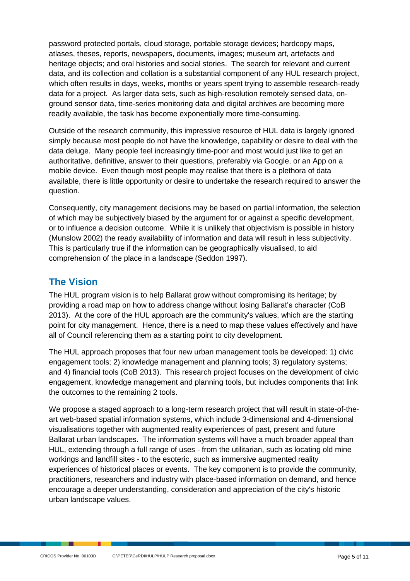password protected portals, cloud storage, portable storage devices; hardcopy maps, atlases, theses, reports, newspapers, documents, images; museum art, artefacts and heritage objects; and oral histories and social stories. The search for relevant and current data, and its collection and collation is a substantial component of any HUL research project, which often results in days, weeks, months or years spent trying to assemble research-ready data for a project. As larger data sets, such as high-resolution remotely sensed data, onground sensor data, time-series monitoring data and digital archives are becoming more readily available, the task has become exponentially more time-consuming.

Outside of the research community, this impressive resource of HUL data is largely ignored simply because most people do not have the knowledge, capability or desire to deal with the data deluge. Many people feel increasingly time-poor and most would just like to get an authoritative, definitive, answer to their questions, preferably via Google, or an App on a mobile device. Even though most people may realise that there is a plethora of data available, there is little opportunity or desire to undertake the research required to answer the question.

Consequently, city management decisions may be based on partial information, the selection of which may be subjectively biased by the argument for or against a specific development, or to influence a decision outcome. While it is unlikely that objectivism is possible in history (Munslow 2002) the ready availability of information and data will result in less subjectivity. This is particularly true if the information can be geographically visualised, to aid comprehension of the place in a landscape (Seddon 1997).

# **The Vision**

The HUL program vision is to help Ballarat grow without compromising its heritage; by providing a road map on how to address change without losing Ballarat's character (CoB 2013). At the core of the HUL approach are the community's values, which are the starting point for city management. Hence, there is a need to map these values effectively and have all of Council referencing them as a starting point to city development.

The HUL approach proposes that four new urban management tools be developed: 1) civic engagement tools; 2) knowledge management and planning tools; 3) regulatory systems; and 4) financial tools (CoB 2013). This research project focuses on the development of civic engagement, knowledge management and planning tools, but includes components that link the outcomes to the remaining 2 tools.

We propose a staged approach to a long-term research project that will result in state-of-theart web-based spatial information systems, which include 3-dimensional and 4-dimensional visualisations together with augmented reality experiences of past, present and future Ballarat urban landscapes. The information systems will have a much broader appeal than HUL, extending through a full range of uses - from the utilitarian, such as locating old mine workings and landfill sites - to the esoteric, such as immersive augmented reality experiences of historical places or events. The key component is to provide the community, practitioners, researchers and industry with place-based information on demand, and hence encourage a deeper understanding, consideration and appreciation of the city's historic urban landscape values.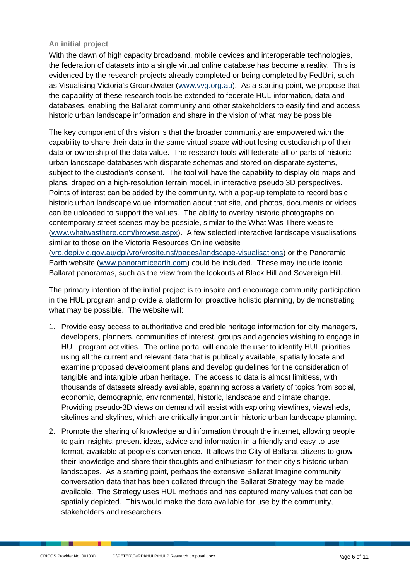#### **An initial project**

With the dawn of high capacity broadband, mobile devices and interoperable technologies, the federation of datasets into a single virtual online database has become a reality. This is evidenced by the research projects already completed or being completed by FedUni, such as Visualising Victoria's Groundwater [\(www.vvg.org.au\)](http://www.vvg.org.au/). As a starting point, we propose that the capability of these research tools be extended to federate HUL information, data and databases, enabling the Ballarat community and other stakeholders to easily find and access historic urban landscape information and share in the vision of what may be possible.

The key component of this vision is that the broader community are empowered with the capability to share their data in the same virtual space without losing custodianship of their data or ownership of the data value. The research tools will federate all or parts of historic urban landscape databases with disparate schemas and stored on disparate systems, subject to the custodian's consent. The tool will have the capability to display old maps and plans, draped on a high-resolution terrain model, in interactive pseudo 3D perspectives. Points of interest can be added by the community, with a pop-up template to record basic historic urban landscape value information about that site, and photos, documents or videos can be uploaded to support the values. The ability to overlay historic photographs on contemporary street scenes may be possible, similar to the What Was There website [\(www.whatwasthere.com/browse.aspx\)](http://www.whatwasthere.com/browse.aspx). A few selected interactive landscape visualisations similar to those on the Victoria Resources Online website

(vro.depi.vic.gov.au/dpi/vro/vrosite.nsf/pages/landscape-visualisations) or the Panoramic Earth website [\(www.panoramicearth.com\)](http://www.panoramicearth.com/) could be included. These may include iconic Ballarat panoramas, such as the view from the lookouts at Black Hill and Sovereign Hill.

The primary intention of the initial project is to inspire and encourage community participation in the HUL program and provide a platform for proactive holistic planning, by demonstrating what may be possible. The website will:

- 1. Provide easy access to authoritative and credible heritage information for city managers, developers, planners, communities of interest, groups and agencies wishing to engage in HUL program activities. The online portal will enable the user to identify HUL priorities using all the current and relevant data that is publically available, spatially locate and examine proposed development plans and develop guidelines for the consideration of tangible and intangible urban heritage. The access to data is almost limitless, with thousands of datasets already available, spanning across a variety of topics from social, economic, demographic, environmental, historic, landscape and climate change. Providing pseudo-3D views on demand will assist with exploring viewlines, viewsheds, sitelines and skylines, which are critically important in historic urban landscape planning.
- 2. Promote the sharing of knowledge and information through the internet, allowing people to gain insights, present ideas, advice and information in a friendly and easy-to-use format, available at people's convenience. It allows the City of Ballarat citizens to grow their knowledge and share their thoughts and enthusiasm for their city's historic urban landscapes. As a starting point, perhaps the extensive Ballarat Imagine community conversation data that has been collated through the Ballarat Strategy may be made available. The Strategy uses HUL methods and has captured many values that can be spatially depicted. This would make the data available for use by the community, stakeholders and researchers.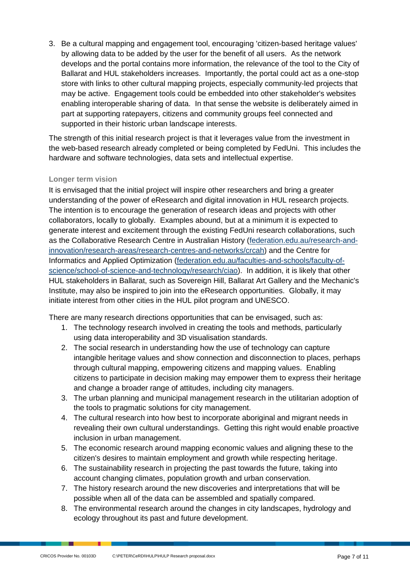3. Be a cultural mapping and engagement tool, encouraging 'citizen-based heritage values' by allowing data to be added by the user for the benefit of all users. As the network develops and the portal contains more information, the relevance of the tool to the City of Ballarat and HUL stakeholders increases. Importantly, the portal could act as a one-stop store with links to other cultural mapping projects, especially community-led projects that may be active. Engagement tools could be embedded into other stakeholder's websites enabling interoperable sharing of data. In that sense the website is deliberately aimed in part at supporting ratepayers, citizens and community groups feel connected and supported in their historic urban landscape interests.

The strength of this initial research project is that it leverages value from the investment in the web-based research already completed or being completed by FedUni. This includes the hardware and software technologies, data sets and intellectual expertise.

#### **Longer term vision**

It is envisaged that the initial project will inspire other researchers and bring a greater understanding of the power of eResearch and digital innovation in HUL research projects. The intention is to encourage the generation of research ideas and projects with other collaborators, locally to globally. Examples abound, but at a minimum it is expected to generate interest and excitement through the existing FedUni research collaborations, such as the Collaborative Research Centre in Australian History (federation.edu.au/research-andinnovation/research-areas/research-centres-and-networks/crcah) and the Centre for Informatics and Applied Optimization (federation.edu.au/faculties-and-schools/faculty-ofscience/school-of-science-and-technology/research/ciao). In addition, it is likely that other HUL stakeholders in Ballarat, such as Sovereign Hill, Ballarat Art Gallery and the Mechanic's Institute, may also be inspired to join into the eResearch opportunities. Globally, it may initiate interest from other cities in the HUL pilot program and UNESCO.

There are many research directions opportunities that can be envisaged, such as:

- 1. The technology research involved in creating the tools and methods, particularly using data interoperability and 3D visualisation standards.
- 2. The social research in understanding how the use of technology can capture intangible heritage values and show connection and disconnection to places, perhaps through cultural mapping, empowering citizens and mapping values. Enabling citizens to participate in decision making may empower them to express their heritage and change a broader range of attitudes, including city managers.
- 3. The urban planning and municipal management research in the utilitarian adoption of the tools to pragmatic solutions for city management.
- 4. The cultural research into how best to incorporate aboriginal and migrant needs in revealing their own cultural understandings. Getting this right would enable proactive inclusion in urban management.
- 5. The economic research around mapping economic values and aligning these to the citizen's desires to maintain employment and growth while respecting heritage.
- 6. The sustainability research in projecting the past towards the future, taking into account changing climates, population growth and urban conservation.
- 7. The history research around the new discoveries and interpretations that will be possible when all of the data can be assembled and spatially compared.
- 8. The environmental research around the changes in city landscapes, hydrology and ecology throughout its past and future development.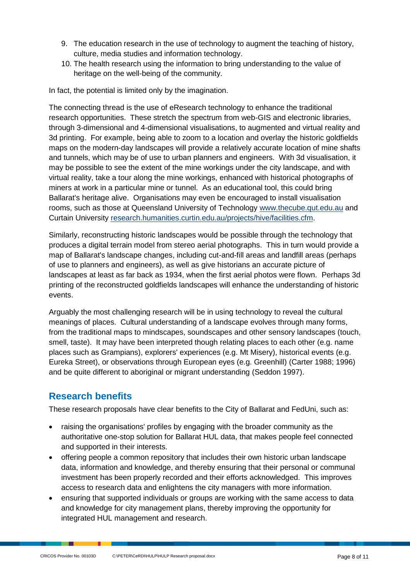- 9. The education research in the use of technology to augment the teaching of history, culture, media studies and information technology.
- 10. The health research using the information to bring understanding to the value of heritage on the well-being of the community.

In fact, the potential is limited only by the imagination.

The connecting thread is the use of eResearch technology to enhance the traditional research opportunities. These stretch the spectrum from web-GIS and electronic libraries, through 3-dimensional and 4-dimensional visualisations, to augmented and virtual reality and 3d printing. For example, being able to zoom to a location and overlay the historic goldfields maps on the modern-day landscapes will provide a relatively accurate location of mine shafts and tunnels, which may be of use to urban planners and engineers. With 3d visualisation, it may be possible to see the extent of the mine workings under the city landscape, and with virtual reality, take a tour along the mine workings, enhanced with historical photographs of miners at work in a particular mine or tunnel. As an educational tool, this could bring Ballarat's heritage alive. Organisations may even be encouraged to install visualisation rooms, such as those at Queensland University of Technology [www.thecube.qut.edu.au](http://www.thecube.qut.edu.au/) and Curtain University [research.humanities.curtin.edu.au/projects/hive/facilities.cfm.](http://research.humanities.curtin.edu.au/projects/hive/facilities.cfm)

Similarly, reconstructing historic landscapes would be possible through the technology that produces a digital terrain model from stereo aerial photographs. This in turn would provide a map of Ballarat's landscape changes, including cut-and-fill areas and landfill areas (perhaps of use to planners and engineers), as well as give historians an accurate picture of landscapes at least as far back as 1934, when the first aerial photos were flown. Perhaps 3d printing of the reconstructed goldfields landscapes will enhance the understanding of historic events.

Arguably the most challenging research will be in using technology to reveal the cultural meanings of places. Cultural understanding of a landscape evolves through many forms, from the traditional maps to mindscapes, soundscapes and other sensory landscapes (touch, smell, taste). It may have been interpreted though relating places to each other (e.g. name places such as Grampians), explorers' experiences (e.g. Mt Misery), historical events (e.g. Eureka Street), or observations through European eyes (e.g. Greenhill) (Carter 1988; 1996) and be quite different to aboriginal or migrant understanding (Seddon 1997).

# **Research benefits**

These research proposals have clear benefits to the City of Ballarat and FedUni, such as:

- raising the organisations' profiles by engaging with the broader community as the authoritative one-stop solution for Ballarat HUL data, that makes people feel connected and supported in their interests.
- offering people a common repository that includes their own historic urban landscape data, information and knowledge, and thereby ensuring that their personal or communal investment has been properly recorded and their efforts acknowledged. This improves access to research data and enlightens the city managers with more information.
- ensuring that supported individuals or groups are working with the same access to data and knowledge for city management plans, thereby improving the opportunity for integrated HUL management and research.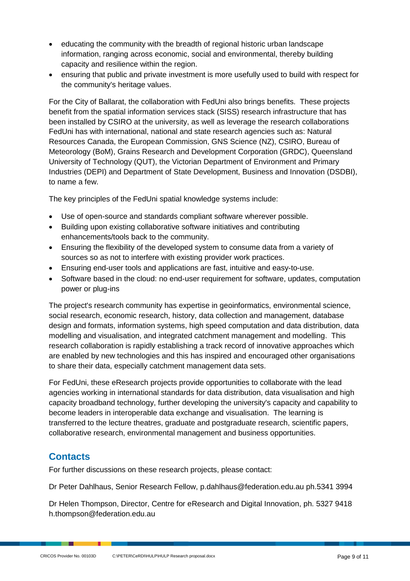- educating the community with the breadth of regional historic urban landscape information, ranging across economic, social and environmental, thereby building capacity and resilience within the region.
- ensuring that public and private investment is more usefully used to build with respect for the community's heritage values.

For the City of Ballarat, the collaboration with FedUni also brings benefits. These projects benefit from the spatial information services stack (SISS) research infrastructure that has been installed by CSIRO at the university, as well as leverage the research collaborations FedUni has with international, national and state research agencies such as: Natural Resources Canada, the European Commission, GNS Science (NZ), CSIRO, Bureau of Meteorology (BoM), Grains Research and Development Corporation (GRDC), Queensland University of Technology (QUT), the Victorian Department of Environment and Primary Industries (DEPI) and Department of State Development, Business and Innovation (DSDBI), to name a few.

The key principles of the FedUni spatial knowledge systems include:

- Use of open-source and standards compliant software wherever possible.
- Building upon existing collaborative software initiatives and contributing enhancements/tools back to the community.
- Ensuring the flexibility of the developed system to consume data from a variety of sources so as not to interfere with existing provider work practices.
- Ensuring end-user tools and applications are fast, intuitive and easy-to-use.
- Software based in the cloud: no end-user requirement for software, updates, computation power or plug-ins

The project's research community has expertise in geoinformatics, environmental science, social research, economic research, history, data collection and management, database design and formats, information systems, high speed computation and data distribution, data modelling and visualisation, and integrated catchment management and modelling. This research collaboration is rapidly establishing a track record of innovative approaches which are enabled by new technologies and this has inspired and encouraged other organisations to share their data, especially catchment management data sets.

For FedUni, these eResearch projects provide opportunities to collaborate with the lead agencies working in international standards for data distribution, data visualisation and high capacity broadband technology, further developing the university's capacity and capability to become leaders in interoperable data exchange and visualisation. The learning is transferred to the lecture theatres, graduate and postgraduate research, scientific papers, collaborative research, environmental management and business opportunities.

# **Contacts**

For further discussions on these research projects, please contact:

Dr Peter Dahlhaus, Senior Research Fellow, [p.dahlhaus@federation.edu.au](mailto:p.dahlhaus@federation.edu.au) ph.5341 3994

Dr Helen Thompson, Director, Centre for eResearch and Digital Innovation, ph. 5327 9418 [h.thompson@federation.edu.au](mailto:h.thompson@federation.edu.au)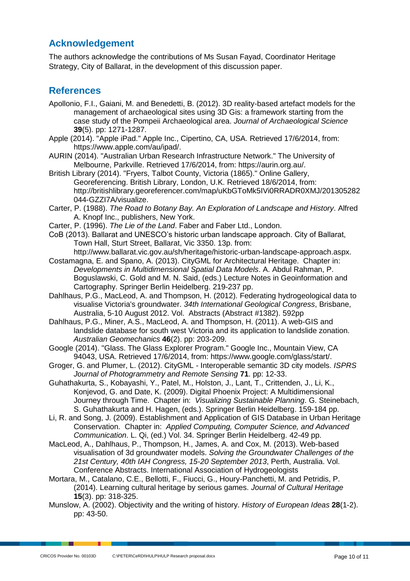## **Acknowledgement**

The authors acknowledge the contributions of Ms Susan Fayad, Coordinator Heritage Strategy, City of Ballarat, in the development of this discussion paper.

## **References**

- Apollonio, F.I., Gaiani, M. and Benedetti, B. (2012). 3D reality-based artefact models for the management of archaeological sites using 3D Gis: a framework starting from the case study of the Pompeii Archaeological area. *Journal of Archaeological Science* **39**(5). pp: 1271-1287.
- Apple (2014). "Apple iPad." Apple Inc., Cipertino, CA, USA. Retrieved 17/6/2014, from: https:/[/www.apple.com/au/ipad/.](http://www.apple.com/au/ipad/)
- AURIN (2014). "Australian Urban Research Infrastructure Network." The University of Melbourne, Parkville. Retrieved 17/6/2014, from: https://aurin.org.au/.
- British Library (2014). "Fryers, Talbot County, Victoria (1865)." Online Gallery, Georeferencing. British Library, London, U.K. Retrieved 18/6/2014, from: [http://britishlibrary.georeferencer.com/map/uKbGToMk5IVi0RRADR0XMJ/201305282](http://britishlibrary.georeferencer.com/map/uKbGToMk5IVi0RRADR0XMJ/201305282044-GZZI7A/visualize) [044-GZZI7A/visualize.](http://britishlibrary.georeferencer.com/map/uKbGToMk5IVi0RRADR0XMJ/201305282044-GZZI7A/visualize)
- Carter, P. (1988). *The Road to Botany Bay. An Exploration of Landscape and History*. Alfred A. Knopf Inc., publishers, New York.
- Carter, P. (1996). *The Lie of the Land*. Faber and Faber Ltd., London.
- CoB (2013). Ballarat and UNESCO's historic urban landscape approach. City of Ballarat, Town Hall, Sturt Street, Ballarat, Vic 3350. 13p. from:
- [http://www.ballarat.vic.gov.au/sh/heritage/historic-urban-landscape-approach.aspx.](http://www.ballarat.vic.gov.au/sh/heritage/historic-urban-landscape-approach.aspx) Costamagna, E. and Spano, A. (2013). CityGML for Architectural Heritage. Chapter in: *Developments in Multidimensional Spatial Data Models*. A. Abdul Rahman, P. Boguslawski, C. Gold and M. N. Said, (eds.) Lecture Notes in Geoinformation and Cartography. Springer Berlin Heidelberg. 219-237 pp.
- Dahlhaus, P.G., MacLeod, A. and Thompson, H. (2012). Federating hydrogeological data to visualise Victoria's groundwater. *34th International Geological Congress*, Brisbane, Australia, 5-10 August 2012. Vol. Abstracts (Abstract #1382). 592pp
- Dahlhaus, P.G., Miner, A.S., MacLeod, A. and Thompson, H. (2011). A web-GIS and landslide database for south west Victoria and its application to landslide zonation. *Australian Geomechanics* **46**(2). pp: 203-209.
- Google (2014). "Glass. The Glass Explorer Program." Google Inc., Mountain View, CA 94043, USA. Retrieved 17/6/2014, from: https:/[/www.google.com/glass/start/.](http://www.google.com/glass/start/)
- Groger, G. and Plumer, L. (2012). CityGML Interoperable semantic 3D city models. *ISPRS Journal of Photogrammetry and Remote Sensing* **71**. pp: 12-33.
- Guhathakurta, S., Kobayashi, Y., Patel, M., Holston, J., Lant, T., Crittenden, J., Li, K., Konjevod, G. and Date, K. (2009). Digital Phoenix Project: A Multidimensional Journey through Time. Chapter in: *Visualizing Sustainable Planning*. G. Steinebach, S. Guhathakurta and H. Hagen, (eds.). Springer Berlin Heidelberg. 159-184 pp.
- Li, R. and Song, J. (2009). Establishment and Application of GIS Database in Urban Heritage Conservation. Chapter in: *Applied Computing, Computer Science, and Advanced Communication*. L. Qi, (ed.) Vol. 34. Springer Berlin Heidelberg. 42-49 pp.
- MacLeod, A., Dahlhaus, P., Thompson, H., James, A. and Cox, M. (2013). Web-based visualisation of 3d groundwater models. *Solving the Groundwater Challenges of the 21st Century, 40th IAH Congress, 15-20 September 2013*, Perth, Australia. Vol. Conference Abstracts. International Association of Hydrogeologists
- Mortara, M., Catalano, C.E., Bellotti, F., Fiucci, G., Houry-Panchetti, M. and Petridis, P. (2014). Learning cultural heritage by serious games. *Journal of Cultural Heritage* **15**(3). pp: 318-325.
- Munslow, A. (2002). Objectivity and the writing of history. *History of European Ideas* **28**(1-2). pp: 43-50.